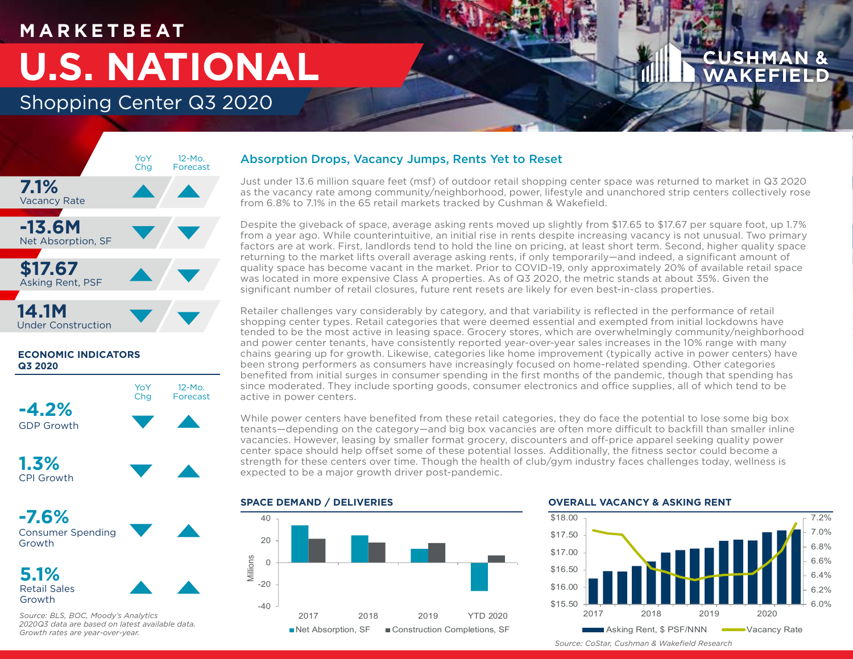## **M A R K E T B E AT**

# **U.S. NATIONAL**

Shopping Center Q3 2020



## **ECONOMIC INDICATORS Q3 2020**





**-7.6%**



**5.1%** Retail Sales Growth



*Source: BLS, BOC, Moody's Analytics 2020Q3 data are based on latest available data. Growth rates are year-over-year.*

## Absorption Drops, Vacancy Jumps, Rents Yet to Reset

Just under 13.6 million square feet (msf) of outdoor retail shopping center space was returned to market in Q3 2020 as the vacancy rate among community/neighborhood, power, lifestyle and unanchored strip centers collectively rose from 6.8% to 7.1% in the 65 retail markets tracked by Cushman & Wakefield.

Despite the giveback of space, average asking rents moved up slightly from \$17.65 to \$17.67 per square foot, up 1.7% from a year ago. While counterintuitive, an initial rise in rents despite increasing vacancy is not unusual. Two primary factors are at work. First, landlords tend to hold the line on pricing, at least short term. Second, higher quality space returning to the market lifts overall average asking rents, if only temporarily—and indeed, a significant amount of quality space has become vacant in the market. Prior to COVID-19, only approximately 20% of available retail space was located in more expensive Class A properties. As of Q3 2020, the metric stands at about 35%. Given the significant number of retail closures, future rent resets are likely for even best-in-class properties.

Retailer challenges vary considerably by category, and that variability is reflected in the performance of retail shopping center types. Retail categories that were deemed essential and exempted from initial lockdowns have tended to be the most active in leasing space. Grocery stores, which are overwhelmingly community/neighborhood and power center tenants, have consistently reported year-over-year sales increases in the 10% range with many chains gearing up for growth. Likewise, categories like home improvement (typically active in power centers) have been strong performers as consumers have increasingly focused on home-related spending. Other categories benefited from initial surges in consumer spending in the first months of the pandemic, though that spending has since moderated. They include sporting goods, consumer electronics and office supplies, all of which tend to be active in power centers.

While power centers have benefited from these retail categories, they do face the potential to lose some big box tenants—depending on the category—and big box vacancies are often more difficult to backfill than smaller inline vacancies. However, leasing by smaller format grocery, discounters and off-price apparel seeking quality power center space should help offset some of these potential losses. Additionally, the fitness sector could become a strength for these centers over time. Though the health of club/gym industry faces challenges today, wellness is expected to be a major growth driver post-pandemic.



### **OVERALL VACANCY & ASKING RENT**



*Source: CoStar, Cushman & Wakefield Research*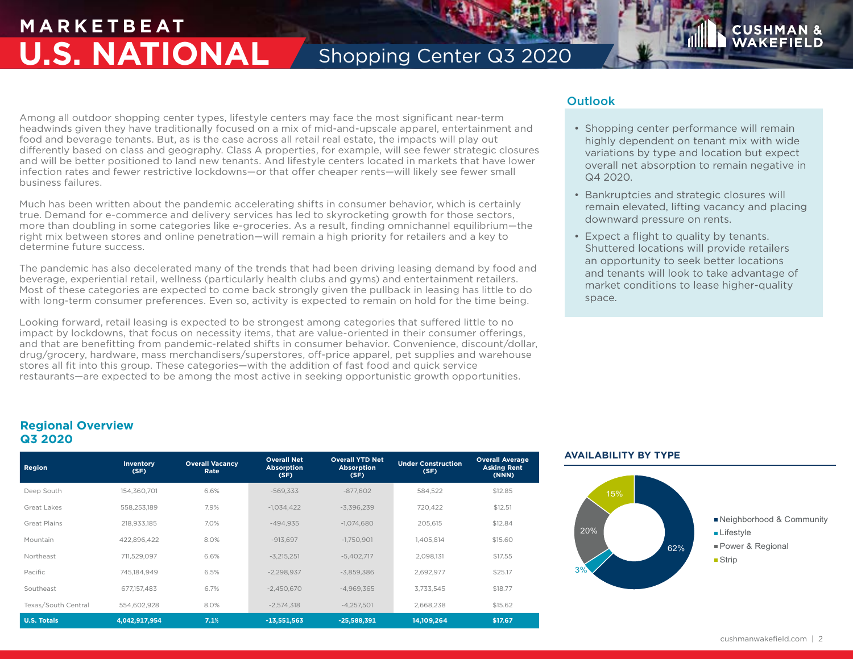## **M A R K E T B E AT U.S. NATIONAL** Shopping Center Q3 2020

Among all outdoor shopping center types, lifestyle centers may face the most significant near-term headwinds given they have traditionally focused on a mix of mid-and-upscale apparel, entertainment and food and beverage tenants. But, as is the case across all retail real estate, the impacts will play out differently based on class and geography. Class A properties, for example, will see fewer strategic closures and will be better positioned to land new tenants. And lifestyle centers located in markets that have lower infection rates and fewer restrictive lockdowns—or that offer cheaper rents—will likely see fewer small business failures.

Much has been written about the pandemic accelerating shifts in consumer behavior, which is certainly true. Demand for e-commerce and delivery services has led to skyrocketing growth for those sectors, more than doubling in some categories like e-groceries. As a result, finding omnichannel equilibrium—the right mix between stores and online penetration—will remain a high priority for retailers and a key to determine future success.

The pandemic has also decelerated many of the trends that had been driving leasing demand by food and beverage, experiential retail, wellness (particularly health clubs and gyms) and entertainment retailers. Most of these categories are expected to come back strongly given the pullback in leasing has little to do with long-term consumer preferences. Even so, activity is expected to remain on hold for the time being.

Looking forward, retail leasing is expected to be strongest among categories that suffered little to no impact by lockdowns, that focus on necessity items, that are value-oriented in their consumer offerings, and that are benefitting from pandemic-related shifts in consumer behavior. Convenience, discount/dollar, drug/grocery, hardware, mass merchandisers/superstores, off-price apparel, pet supplies and warehouse stores all fit into this group. These categories—with the addition of fast food and quick service restaurants—are expected to be among the most active in seeking opportunistic growth opportunities.

## **Outlook**

• Shopping center performance will remain highly dependent on tenant mix with wide variations by type and location but expect overall net absorption to remain negative in Q4 2020.

**CUSHM** 

- Bankruptcies and strategic closures will remain elevated, lifting vacancy and placing downward pressure on rents.
- Expect a flight to quality by tenants. Shuttered locations will provide retailers an opportunity to seek better locations and tenants will look to take advantage of market conditions to lease higher-quality space.

## **Regional Overview Q3 2020**

| Region              | <b>Inventory</b><br>(SF) | <b>Overall Vacancy</b><br>Rate | <b>Overall Net</b><br><b>Absorption</b><br>(SF) | <b>Overall YTD Net</b><br><b>Absorption</b><br>(SF) | <b>Under Construction</b><br>(SF) | <b>Overall Average</b><br><b>Asking Rent</b><br>(NNN) |
|---------------------|--------------------------|--------------------------------|-------------------------------------------------|-----------------------------------------------------|-----------------------------------|-------------------------------------------------------|
| Deep South          | 154,360,701              | 6.6%                           | $-569.333$                                      | $-877.602$                                          | 584,522                           | \$12.85                                               |
| Great Lakes         | 558.253.189              | 7.9%                           | $-1.034.422$                                    | $-3.396.239$                                        | 720.422                           | \$12.51                                               |
| Great Plains        | 218.933.185              | 7.0%                           | $-494.935$                                      | $-1.074.680$                                        | 205.615                           | \$12.84                                               |
| Mountain            | 422.896.422              | 8.0%                           | $-913.697$                                      | $-1.750.901$                                        | 1.405.814                         | \$15,60                                               |
| Northeast           | 711.529.097              | 6.6%                           | $-3.215.251$                                    | $-5,402,717$                                        | 2,098,131                         | \$17.55                                               |
| Pacific             | 745.184.949              | 6.5%                           | $-2.298.937$                                    | $-3.859.386$                                        | 2,692,977                         | \$25.17                                               |
| Southeast           | 677,157,483              | 6.7%                           | $-2,450,670$                                    | $-4.969.365$                                        | 3,733,545                         | \$18.77                                               |
| Texas/South Central | 554,602,928              | 8.0%                           | $-2,574,318$                                    | $-4.257.501$                                        | 2,668,238                         | \$15.62                                               |
| <b>U.S. Totals</b>  | 4.042.917.954            | 7.1%                           | $-13,551,563$                                   | $-25,588,391$                                       | 14.109.264                        | \$17.67                                               |

## **AVAILABILITY BY TYPE**

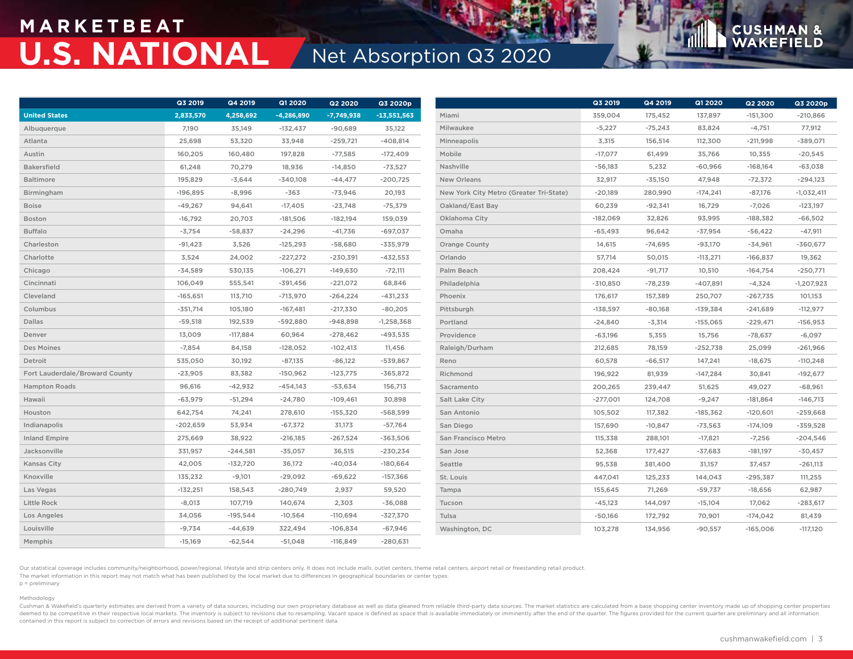## **M A R K E T B E AT U.S. NATIONAL** Net Absorption Q3 2020

|                                | Q3 2019    | Q4 2019    | Q1 2020      | Q2 2020      | Q3 2020p      |                                         | Q3 2019    | Q4 2019   | Q1 2020    | <b>Q2 2020</b> | Q3 2020p     |
|--------------------------------|------------|------------|--------------|--------------|---------------|-----------------------------------------|------------|-----------|------------|----------------|--------------|
| <b>United States</b>           | 2,833,570  | 4,258,692  | $-4,286,890$ | $-7,749,938$ | $-13,551,563$ | Miami                                   | 359,004    | 175,452   | 137,897    | $-151,300$     | $-210,866$   |
| Albuquerque                    | 7,190      | 35,149     | $-132,437$   | $-90,689$    | 35,122        | Milwaukee                               | $-5,227$   | $-75,243$ | 83,824     | $-4,751$       | 77,912       |
| Atlanta                        | 25,698     | 53,320     | 33,948       | $-259,721$   | $-408,814$    | Minneapolis                             | 3,315      | 156,514   | 112,300    | $-211,998$     | $-389,071$   |
| Austin                         | 160,205    | 160,480    | 197,828      | $-77,585$    | $-172,409$    | Mobile                                  | $-17,077$  | 61,499    | 35,766     | 10,355         | $-20,545$    |
| <b>Bakersfield</b>             | 61,248     | 70,279     | 18,936       | $-14,850$    | $-73,527$     | Nashville                               | $-56,183$  | 5,232     | $-60,966$  | $-168,164$     | $-63,038$    |
| Baltimore                      | 195,829    | $-3,644$   | $-340,108$   | $-44,477$    | $-200,725$    | New Orleans                             | 32,917     | $-35,150$ | 47,948     | $-72,372$      | $-294,123$   |
| Birmingham                     | $-196,895$ | $-8,996$   | $-363$       | $-73,946$    | 20,193        | New York City Metro (Greater Tri-State) | $-20,189$  | 280,990   | $-174,241$ | $-87,176$      | $-1,032,411$ |
| <b>Boise</b>                   | $-49,267$  | 94,641     | $-17,405$    | $-23,748$    | $-75,379$     | Oakland/East Bay                        | 60,239     | $-92,341$ | 16,729     | $-7,026$       | $-123,197$   |
| Boston                         | $-16,792$  | 20,703     | $-181,506$   | $-182,194$   | 159,039       | Oklahoma City                           | $-182,069$ | 32,826    | 93,995     | $-188,382$     | $-66,502$    |
| <b>Buffalo</b>                 | $-3,754$   | $-58,837$  | $-24,296$    | $-41,736$    | $-697,037$    | Omaha                                   | $-65,493$  | 96,642    | $-37,954$  | $-56,422$      | $-47,911$    |
| Charleston                     | $-91,423$  | 3,526      | $-125,293$   | $-58,680$    | $-335,979$    | Orange County                           | 14,615     | $-74,695$ | $-93,170$  | $-34,961$      | $-360,677$   |
| Charlotte                      | 3,524      | 24,002     | $-227,272$   | $-230,391$   | $-432,553$    | Orlando                                 | 57,714     | 50,015    | $-113,271$ | $-166,837$     | 19,362       |
| Chicago                        | $-34,589$  | 530,135    | $-106,271$   | $-149,630$   | $-72,111$     | Palm Beach                              | 208,424    | $-91,717$ | 10,510     | $-164,754$     | $-250,771$   |
| Cincinnati                     | 106,049    | 555,541    | $-391,456$   | $-221,072$   | 68,846        | Philadelphia                            | $-310,850$ | $-78,239$ | $-407,891$ | $-4,324$       | $-1,207,923$ |
| Cleveland                      | $-165,651$ | 113,710    | $-713,970$   | $-264,224$   | $-431,233$    | Phoenix                                 | 176,617    | 157,389   | 250,707    | -267,735       | 101,153      |
| Columbus                       | $-351,714$ | 105,180    | $-167,481$   | $-217,330$   | $-80,205$     | Pittsburgh                              | $-138,597$ | $-80,168$ | $-139,384$ | $-241,689$     | $-112,977$   |
| Dallas                         | $-59,518$  | 192,539    | $-592,880$   | $-948,898$   | $-1,258,368$  | Portland                                | $-24,840$  | $-3,314$  | $-155,065$ | $-229,471$     | $-156,953$   |
| Denver                         | 13,009     | $-117,884$ | 60,964       | $-278,462$   | $-493,535$    | Providence                              | $-63,196$  | 5,355     | 15,756     | $-78,637$      | $-6,097$     |
| Des Moines                     | $-7,854$   | 84,158     | $-128,052$   | $-102,413$   | 11,456        | Raleigh/Durham                          | 212,685    | 78,159    | $-252,738$ | 25,099         | $-261,966$   |
| Detroit                        | 535,050    | 30,192     | $-87,135$    | $-86,122$    | $-539,867$    | Reno                                    | 60,578     | $-66,517$ | 147,241    | $-18,675$      | $-110,248$   |
| Fort Lauderdale/Broward County | $-23,905$  | 83,382     | $-150,962$   | $-123,775$   | $-365,872$    | Richmond                                | 196,922    | 81,939    | $-147,284$ | 30,841         | $-192,677$   |
| <b>Hampton Roads</b>           | 96,616     | $-42,932$  | $-454,143$   | $-53,634$    | 156,713       | Sacramento                              | 200,265    | 239,447   | 51,625     | 49,027         | $-68,961$    |
| Hawaii                         | $-63,979$  | $-51,294$  | $-24,780$    | $-109,461$   | 30,898        | Salt Lake City                          | $-277,001$ | 124,708   | $-9,247$   | $-181,864$     | $-146,713$   |
| Houston                        | 642,754    | 74,241     | 278,610      | $-155,320$   | $-568,599$    | San Antonio                             | 105,502    | 117,382   | $-185,362$ | $-120,601$     | $-259,668$   |
| Indianapolis                   | $-202,659$ | 53,934     | $-67,372$    | 31,173       | $-57,764$     | San Diego                               | 157,690    | $-10,847$ | $-73,563$  | $-174,109$     | $-359,528$   |
| <b>Inland Empire</b>           | 275,669    | 38,922     | $-216,185$   | $-267,524$   | $-363,506$    | San Francisco Metro                     | 115,338    | 288,101   | $-17,821$  | $-7,256$       | $-204,546$   |
| Jacksonville                   | 331,957    | $-244,581$ | $-35,057$    | 36,515       | $-230,234$    | San Jose                                | 52,368     | 177,427   | $-37,683$  | $-181,197$     | $-30,457$    |
| Kansas City                    | 42,005     | $-132,720$ | 36,172       | $-40,034$    | $-180,664$    | Seattle                                 | 95,538     | 381,400   | 31,157     | 37,457         | $-261,113$   |
| Knoxville                      | 135,232    | $-9,101$   | $-29,092$    | $-69,622$    | $-157,366$    | St. Louis                               | 447,041    | 125,233   | 144,043    | $-295,387$     | 111,255      |
| Las Vegas                      | $-132,251$ | 158,543    | $-280,749$   | 2,937        | 59,520        | Tampa                                   | 155,645    | 71,269    | $-59,737$  | $-18,656$      | 62,987       |
| Little Rock                    | $-8,013$   | 107,719    | 140,674      | 2,303        | $-36,088$     | Tucson                                  | $-45,123$  | 144,097   | $-15,104$  | 17,062         | $-283,617$   |
| Los Angeles                    | 34,056     | $-195,544$ | $-10,564$    | $-110,694$   | $-327,370$    | Tulsa                                   | $-50,166$  | 172,792   | 70,901     | $-174,042$     | 81,439       |
| Louisville                     | $-9,734$   | -44,639    | 322,494      | $-106,834$   | $-67,946$     | Washington, DC                          | 103,278    | 134,956   | $-90,557$  | $-165,006$     | $-117,120$   |
| Memphis                        | $-15,169$  | $-62,544$  | $-51,048$    | $-116,849$   | $-280,631$    |                                         |            |           |            |                |              |

Our statistical coverage includes community/neighborhood, power/regional, lifestyle and strip centers only. It does not include malls, outlet centers, theme retail centers, airport retail or freestanding retail product. The market information in this report may not match what has been published by the local market due to differences in geographical boundaries or center types.

p = preliminary Methodology

Cushman & Wakefield's quarterly estimates are derived from a variety of data sources, including our own proprietary database as well as data gleaned from reliable third-party data sources. The market statistics are calcula deemed to be competitive in their respective local markets. The inventory is subject to revisions due to resampling. Vacant space is defined as space that is available immediately or imminently after the end of the quarter contained in this report is subject to correction of errors and revisions based on the receipt of additional pertinent data.

**CUSHMA** 

**N** &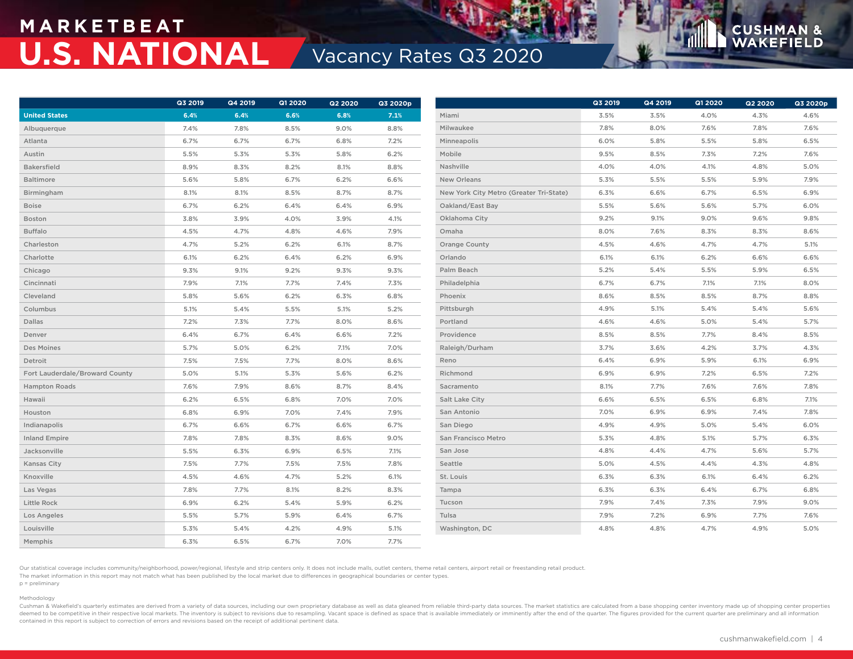## **M A R K E T B E AT U.S. NATIONAL Vacancy Rates Q3 2020**

|                                | Q3 2019 | Q4 2019 | <b>Q1 2020</b> | <b>Q2 2020</b> | Q3 2020p |                                         | Q3 2019 | Q4 2019 | <b>Q1 2020</b> | <b>Q2 2020</b> | Q3 2020p |
|--------------------------------|---------|---------|----------------|----------------|----------|-----------------------------------------|---------|---------|----------------|----------------|----------|
| <b>United States</b>           | 6.4%    | 6.4%    | 6.6%           | 6.8%           | 7.1%     | Miami                                   | 3.5%    | 3.5%    | 4.0%           | 4.3%           | 4.6%     |
| Albuquerque                    | 7.4%    | 7.8%    | 8.5%           | 9.0%           | 8.8%     | Milwaukee                               | 7.8%    | 8.0%    | 7.6%           | 7.8%           | 7.6%     |
| Atlanta                        | 6.7%    | 6.7%    | 6.7%           | 6.8%           | 7.2%     | Minneapolis                             | 6.0%    | 5.8%    | 5.5%           | 5.8%           | 6.5%     |
| Austin                         | 5.5%    | 5.3%    | 5.3%           | 5.8%           | 6.2%     | Mobile                                  | 9.5%    | 8.5%    | 7.3%           | 7.2%           | 7.6%     |
| <b>Bakersfield</b>             | 8.9%    | 8.3%    | 8.2%           | 8.1%           | 8.8%     | Nashville                               | 4.0%    | 4.0%    | 4.1%           | 4.8%           | 5.0%     |
| Baltimore                      | 5.6%    | 5.8%    | 6.7%           | 6.2%           | 6.6%     | New Orleans                             | 5.3%    | 5.5%    | 5.5%           | 5.9%           | 7.9%     |
| Birmingham                     | 8.1%    | 8.1%    | 8.5%           | 8.7%           | 8.7%     | New York City Metro (Greater Tri-State) | 6.3%    | 6.6%    | 6.7%           | 6.5%           | 6.9%     |
| <b>Boise</b>                   | 6.7%    | 6.2%    | 6.4%           | 6.4%           | 6.9%     | Oakland/East Bay                        | 5.5%    | 5.6%    | 5.6%           | 5.7%           | 6.0%     |
| Boston                         | 3.8%    | 3.9%    | 4.0%           | 3.9%           | 4.1%     | Oklahoma City                           | 9.2%    | 9.1%    | 9.0%           | 9.6%           | 9.8%     |
| <b>Buffalo</b>                 | 4.5%    | 4.7%    | 4.8%           | 4.6%           | 7.9%     | Omaha                                   | 8.0%    | 7.6%    | 8.3%           | 8.3%           | 8.6%     |
| Charleston                     | 4.7%    | 5.2%    | 6.2%           | 6.1%           | 8.7%     | <b>Orange County</b>                    | 4.5%    | 4.6%    | 4.7%           | 4.7%           | 5.1%     |
| Charlotte                      | 6.1%    | 6.2%    | 6.4%           | 6.2%           | 6.9%     | Orlando                                 | 6.1%    | 6.1%    | 6.2%           | 6.6%           | 6.6%     |
| Chicago                        | 9.3%    | 9.1%    | 9.2%           | 9.3%           | 9.3%     | Palm Beach                              | 5.2%    | 5.4%    | 5.5%           | 5.9%           | 6.5%     |
| Cincinnati                     | 7.9%    | 7.1%    | 7.7%           | 7.4%           | 7.3%     | Philadelphia                            | 6.7%    | 6.7%    | 7.1%           | 7.1%           | 8.0%     |
| Cleveland                      | 5.8%    | 5.6%    | 6.2%           | 6.3%           | 6.8%     | Phoenix                                 | 8.6%    | 8.5%    | 8.5%           | 8.7%           | 8.8%     |
| Columbus                       | 5.1%    | 5.4%    | 5.5%           | 5.1%           | 5.2%     | Pittsburgh                              | 4.9%    | 5.1%    | 5.4%           | 5.4%           | 5.6%     |
| Dallas                         | 7.2%    | 7.3%    | 7.7%           | 8.0%           | 8.6%     | Portland                                | 4.6%    | 4.6%    | 5.0%           | 5.4%           | 5.7%     |
| Denver                         | 6.4%    | 6.7%    | 6.4%           | 6.6%           | 7.2%     | Providence                              | 8.5%    | 8.5%    | 7.7%           | 8.4%           | 8.5%     |
| Des Moines                     | 5.7%    | 5.0%    | 6.2%           | 7.1%           | 7.0%     | Raleigh/Durham                          | 3.7%    | 3.6%    | 4.2%           | 3.7%           | 4.3%     |
| Detroit                        | 7.5%    | 7.5%    | 7.7%           | 8.0%           | 8.6%     | Reno                                    | 6.4%    | 6.9%    | 5.9%           | 6.1%           | 6.9%     |
| Fort Lauderdale/Broward County | 5.0%    | 5.1%    | 5.3%           | 5.6%           | 6.2%     | Richmond                                | 6.9%    | 6.9%    | 7.2%           | 6.5%           | 7.2%     |
| <b>Hampton Roads</b>           | 7.6%    | 7.9%    | 8.6%           | 8.7%           | 8.4%     | Sacramento                              | 8.1%    | 7.7%    | 7.6%           | 7.6%           | 7.8%     |
| Hawaii                         | 6.2%    | 6.5%    | 6.8%           | 7.0%           | 7.0%     | Salt Lake City                          | 6.6%    | 6.5%    | 6.5%           | 6.8%           | 7.1%     |
| Houston                        | 6.8%    | 6.9%    | 7.0%           | 7.4%           | 7.9%     | San Antonio                             | 7.0%    | 6.9%    | 6.9%           | 7.4%           | 7.8%     |
| Indianapolis                   | 6.7%    | 6.6%    | 6.7%           | 6.6%           | 6.7%     | San Diego                               | 4.9%    | 4.9%    | 5.0%           | 5.4%           | 6.0%     |
| <b>Inland Empire</b>           | 7.8%    | 7.8%    | 8.3%           | 8.6%           | 9.0%     | San Francisco Metro                     | 5.3%    | 4.8%    | 5.1%           | 5.7%           | 6.3%     |
| Jacksonville                   | 5.5%    | 6.3%    | 6.9%           | 6.5%           | 7.1%     | San Jose                                | 4.8%    | 4.4%    | 4.7%           | 5.6%           | 5.7%     |
| Kansas City                    | 7.5%    | 7.7%    | 7.5%           | 7.5%           | 7.8%     | Seattle                                 | 5.0%    | 4.5%    | 4.4%           | 4.3%           | 4.8%     |
| Knoxville                      | 4.5%    | 4.6%    | 4.7%           | 5.2%           | 6.1%     | St. Louis                               | 6.3%    | 6.3%    | 6.1%           | 6.4%           | 6.2%     |
| Las Vegas                      | 7.8%    | 7.7%    | 8.1%           | 8.2%           | 8.3%     | Tampa                                   | 6.3%    | 6.3%    | 6.4%           | 6.7%           | 6.8%     |
| Little Rock                    | 6.9%    | 6.2%    | 5.4%           | 5.9%           | 6.2%     | Tucson                                  | 7.9%    | 7.4%    | 7.3%           | 7.9%           | 9.0%     |
| Los Angeles                    | 5.5%    | 5.7%    | 5.9%           | 6.4%           | 6.7%     | Tulsa                                   | 7.9%    | 7.2%    | 6.9%           | 7.7%           | 7.6%     |
| Louisville                     | 5.3%    | 5.4%    | 4.2%           | 4.9%           | 5.1%     | Washington, DC                          | 4.8%    | 4.8%    | 4.7%           | 4.9%           | 5.0%     |
| Memphis                        | 6.3%    | 6.5%    | 6.7%           | 7.0%           | 7.7%     |                                         |         |         |                |                |          |

Our statistical coverage includes community/neighborhood, power/regional, lifestyle and strip centers only. It does not include malls, outlet centers, theme retail centers, airport retail or freestanding retail product. The market information in this report may not match what has been published by the local market due to differences in geographical boundaries or center types. p = preliminary

### Methodology

Cushman & Wakefield's quarterly estimates are derived from a variety of data sources, including our own proprietary database as well as data gleaned from reliable third-party data sources. The market statistics are calcula deemed to be competitive in their respective local markets. The inventory is subject to revisions due to resampling. Vacant space is defined as space that is available immediately or imminently after the end of the quarter contained in this report is subject to correction of errors and revisions based on the receipt of additional pertinent data.

**CUSHMA**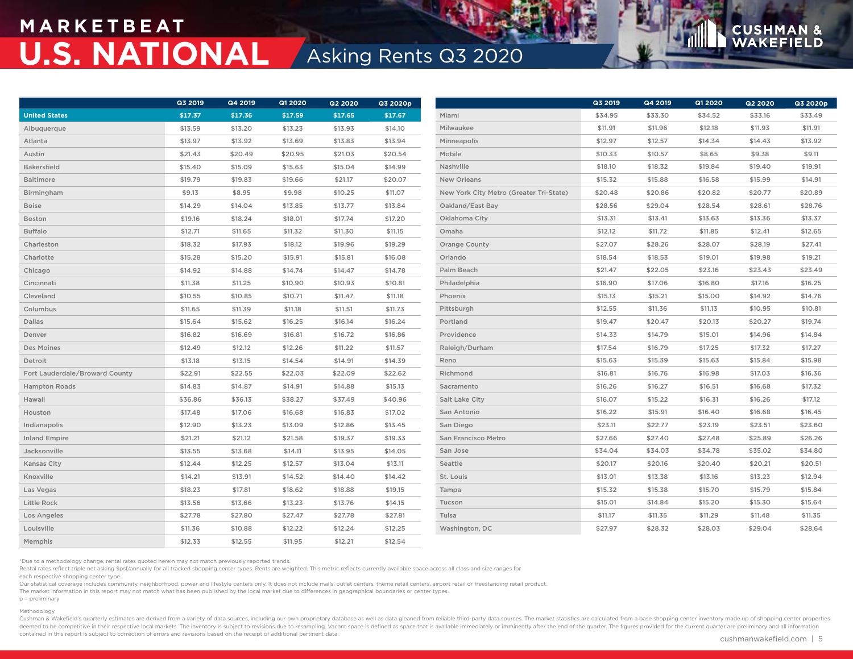## **M A R K E T B E AT U.S. NATIONAL** Asking Rents Q3 2020

|                                | Q3 2019 | Q4 2019 | Q1 2020 | Q2 2020 | Q3 2020p |                                         | Q3 2019 | Q4 2019 | Q1 2020 | <b>Q2 2020</b> | Q3 2020p |  |
|--------------------------------|---------|---------|---------|---------|----------|-----------------------------------------|---------|---------|---------|----------------|----------|--|
| <b>United States</b>           | \$17.37 | \$17.36 | \$17.59 | \$17.65 | \$17.67  | Miami                                   | \$34.95 | \$33.30 | \$34.52 | \$33.16        | \$33.49  |  |
| Albuquerque                    | \$13.59 | \$13.20 | \$13.23 | \$13.93 | \$14.10  | Milwaukee                               | \$11.91 | \$11.96 | \$12.18 | \$11.93        | \$11.91  |  |
| Atlanta                        | \$13.97 | \$13.92 | \$13.69 | \$13.83 | \$13.94  | Minneapolis                             | \$12.97 | \$12.57 | \$14.34 | \$14.43        | \$13.92  |  |
| Austin                         | \$21.43 | \$20.49 | \$20.95 | \$21.03 | \$20.54  | Mobile                                  | \$10.33 | \$10.57 | \$8.65  | \$9.38         | \$9.11   |  |
| <b>Bakersfield</b>             | \$15.40 | \$15.09 | \$15.63 | \$15.04 | \$14.99  | Nashville                               | \$18.10 | \$18.32 | \$19.84 | \$19.40        | \$19.91  |  |
| <b>Baltimore</b>               | \$19.79 | \$19.83 | \$19.66 | \$21.17 | \$20.07  | New Orleans                             | \$15.32 | \$15.88 | \$16.58 | \$15.99        | \$14.91  |  |
| Birmingham                     | \$9.13  | \$8.95  | \$9.98  | \$10.25 | \$11.07  | New York City Metro (Greater Tri-State) | \$20.48 | \$20.86 | \$20.82 | \$20.77        | \$20.89  |  |
| Boise                          | \$14.29 | \$14.04 | \$13.85 | \$13.77 | \$13.84  | Oakland/East Bay                        | \$28.56 | \$29.04 | \$28.54 | \$28.61        | \$28.76  |  |
| Boston                         | \$19.16 | \$18.24 | \$18.01 | \$17.74 | \$17.20  | Oklahoma City                           | \$13.31 | \$13.41 | \$13.63 | \$13.36        | \$13.37  |  |
| <b>Buffalo</b>                 | \$12.71 | \$11.65 | \$11.32 | \$11.30 | \$11.15  | Omaha                                   | \$12.12 | \$11.72 | \$11.85 | \$12.41        | \$12.65  |  |
| Charleston                     | \$18.32 | \$17.93 | \$18.12 | \$19.96 | \$19.29  | <b>Orange County</b>                    | \$27.07 | \$28.26 | \$28.07 | \$28.19        | \$27.41  |  |
| Charlotte                      | \$15.28 | \$15.20 | \$15.91 | \$15.81 | \$16.08  | Orlando                                 | \$18.54 | \$18.53 | \$19.01 | \$19.98        | \$19.21  |  |
| Chicago                        | \$14.92 | \$14.88 | \$14.74 | \$14.47 | \$14.78  | Palm Beach                              | \$21.47 | \$22.05 | \$23.16 | \$23.43        | \$23.49  |  |
| Cincinnati                     | \$11.38 | \$11.25 | \$10.90 | \$10.93 | \$10.81  | Philadelphia                            | \$16.90 | \$17.06 | \$16.80 | \$17.16        | \$16.25  |  |
| Cleveland                      | \$10.55 | \$10.85 | \$10.71 | \$11.47 | \$11.18  | Phoenix                                 | \$15.13 | \$15.21 | \$15.00 | \$14.92        | \$14.76  |  |
| Columbus                       | \$11.65 | \$11.39 | \$11.18 | \$11.51 | \$11.73  | Pittsburgh                              | \$12.55 | \$11.36 | \$11.13 | \$10.95        | \$10.81  |  |
| Dallas                         | \$15.64 | \$15.62 | \$16.25 | \$16.14 | \$16.24  | Portland                                | \$19.47 | \$20.47 | \$20.13 | \$20.27        | \$19.74  |  |
| Denver                         | \$16.82 | \$16.69 | \$16.81 | \$16.72 | \$16.86  | Providence                              | \$14.33 | \$14.79 | \$15.01 | \$14.96        | \$14.84  |  |
| Des Moines                     | \$12.49 | \$12.12 | \$12.26 | \$11.22 | \$11.57  | Raleigh/Durham                          | \$17.54 | \$16.79 | \$17.25 | \$17.32        | \$17.27  |  |
| Detroit                        | \$13.18 | \$13.15 | \$14.54 | \$14.91 | \$14.39  | Reno                                    | \$15.63 | \$15.39 | \$15.63 | \$15.84        | \$15.98  |  |
| Fort Lauderdale/Broward County | \$22.91 | \$22.55 | \$22.03 | \$22.09 | \$22.62  | Richmond                                | \$16.81 | \$16.76 | \$16.98 | \$17.03        | \$16.36  |  |
| <b>Hampton Roads</b>           | \$14.83 | \$14.87 | \$14.91 | \$14.88 | \$15.13  | Sacramento                              | \$16.26 | \$16.27 | \$16.51 | \$16.68        | \$17.32  |  |
| Hawaii                         | \$36.86 | \$36.13 | \$38.27 | \$37.49 | \$40.96  | Salt Lake City                          | \$16.07 | \$15.22 | \$16.31 | \$16.26        | \$17.12  |  |
| Houston                        | \$17.48 | \$17.06 | \$16.68 | \$16.83 | \$17.02  | San Antonio                             | \$16.22 | \$15.91 | \$16.40 | \$16.68        | \$16.45  |  |
| Indianapolis                   | \$12.90 | \$13.23 | \$13.09 | \$12.86 | \$13.45  | San Diego                               | \$23.11 | \$22.77 | \$23.19 | \$23.51        | \$23.60  |  |
| <b>Inland Empire</b>           | \$21.21 | \$21.12 | \$21.58 | \$19.37 | \$19.33  | San Francisco Metro                     | \$27.66 | \$27.40 | \$27.48 | \$25.89        | \$26.26  |  |
| Jacksonville                   | \$13.55 | \$13.68 | \$14.11 | \$13.95 | \$14.05  | San Jose                                | \$34.04 | \$34.03 | \$34.78 | \$35.02        | \$34.80  |  |
| Kansas City                    | \$12.44 | \$12.25 | \$12.57 | \$13.04 | \$13.11  | Seattle                                 | \$20.17 | \$20.16 | \$20.40 | \$20.21        | \$20.51  |  |
| Knoxville                      | \$14.21 | \$13.91 | \$14.52 | \$14.40 | \$14.42  | St. Louis                               | \$13.01 | \$13.38 | \$13.16 | \$13.23        | \$12.94  |  |
| Las Vegas                      | \$18.23 | \$17.81 | \$18.62 | \$18.88 | \$19.15  | Tampa                                   | \$15.32 | \$15.38 | \$15.70 | \$15.79        | \$15.84  |  |
| Little Rock                    | \$13.56 | \$13.66 | \$13.23 | \$13.76 | \$14.15  | Tucson                                  | \$15.01 | \$14.84 | \$15.20 | \$15.30        | \$15.64  |  |
| Los Angeles                    | \$27.78 | \$27.80 | \$27.47 | \$27.78 | \$27.81  | Tulsa                                   | \$11.17 | \$11.35 | \$11.29 | \$11.48        | \$11.35  |  |
| Louisville                     | \$11.36 | \$10.88 | \$12.22 | \$12.24 | \$12.25  | Washington, DC                          | \$27.97 | \$28.32 | \$28.03 | \$29.04        | \$28.64  |  |
| Memphis                        | \$12.33 | \$12.55 | \$11.95 | \$12.21 | \$12.54  |                                         |         |         |         |                |          |  |

\*Due to a methodology change, rental rates quoted herein may not match previously reported trends.

Rental rates reflect triple net asking \$psf/annually for all tracked shopping center types. Rents are weighted. This metric reflects currently available space across all class and size ranges for

each respective shopping center type.

Our statistical coverage includes community, neighborhood, power and lifestyle centers only. It does not include malls, outlet centers, theme retail centers, airport retail or freestanding retail product.

The market information in this report may not match what has been published by the local market due to differences in geographical boundaries or center types.

p = preliminary

### Methodology

Cushman & Wakefield's quarterly estimates are derived from a variety of data sources, including our own proprietary database as well as data gleaned from reliable third-party data sources. The market statistics are calcula deemed to be competitive in their respective local markets. The inventory is subject to revisions due to resampling. Vacant space is defined as space that is available immediately or imminently after the end of the quarter contained in this report is subject to correction of errors and revisions based on the receipt of additional pertinent data.

**CUSHMA** 

**N** &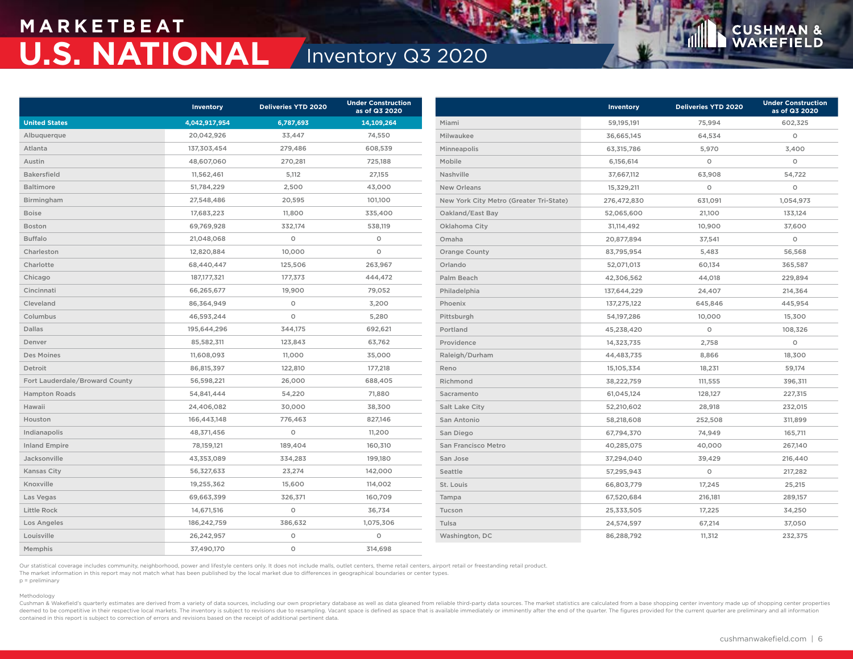## **M A R K E T B E AT U.S. NATIONAL** Inventory Q3 2020

|                                | Inventory     | <b>Deliveries YTD 2020</b> | <b>Under Construction</b><br>as of Q3 2020 |                                         | Inventory   | <b>Deliveries YTD 2020</b> | <b>Under Construction</b><br>as of Q3 2020 |
|--------------------------------|---------------|----------------------------|--------------------------------------------|-----------------------------------------|-------------|----------------------------|--------------------------------------------|
| <b>United States</b>           | 4,042,917,954 | 6,787,693                  | 14,109,264                                 | Miami                                   | 59,195,191  | 75,994                     | 602,325                                    |
| Albuquerque                    | 20,042,926    | 33,447                     | 74,550                                     | Milwaukee                               | 36,665,145  | 64,534                     | $\circ$                                    |
| Atlanta                        | 137,303,454   | 279,486                    | 608,539                                    | Minneapolis                             | 63,315,786  | 5,970                      | 3,400                                      |
| Austin                         | 48,607,060    | 270,281                    | 725,188                                    | Mobile                                  | 6,156,614   | $\circ$                    | $\circ$                                    |
| Bakersfield                    | 11,562,461    | 5,112                      | 27,155                                     | Nashville                               | 37,667,112  | 63,908                     | 54,722                                     |
| Baltimore                      | 51,784,229    | 2,500                      | 43,000                                     | <b>New Orleans</b>                      | 15,329,211  | $\circ$                    | $\circ$                                    |
| Birmingham                     | 27,548,486    | 20,595                     | 101,100                                    | New York City Metro (Greater Tri-State) | 276,472,830 | 631,091                    | 1,054,973                                  |
| <b>Boise</b>                   | 17,683,223    | 11,800                     | 335,400                                    | Oakland/East Bay                        | 52,065,600  | 21,100                     | 133,124                                    |
| Boston                         | 69,769,928    | 332,174                    | 538,119                                    | Oklahoma City                           | 31,114,492  | 10,900                     | 37,600                                     |
| <b>Buffalo</b>                 | 21,048,068    | $\circ$                    | $\circ$                                    | Omaha                                   | 20,877,894  | 37,541                     | $\circ$                                    |
| Charleston                     | 12,820,884    | 10,000                     | $\circ$                                    | Orange County                           | 83,795,954  | 5,483                      | 56,568                                     |
| Charlotte                      | 68,440,447    | 125,506                    | 263,967                                    | Orlando                                 | 52,071,013  | 60,134                     | 365,587                                    |
| Chicago                        | 187, 177, 321 | 177,373                    | 444,472                                    | Palm Beach                              | 42,306,562  | 44,018                     | 229,894                                    |
| Cincinnati                     | 66,265,677    | 19,900                     | 79,052                                     | Philadelphia                            | 137,644,229 | 24,407                     | 214,364                                    |
| Cleveland                      | 86,364,949    | $\circ$                    | 3,200                                      | Phoenix                                 | 137,275,122 | 645,846                    | 445,954                                    |
| Columbus                       | 46,593,244    | $\circ$                    | 5,280                                      | Pittsburgh                              | 54,197,286  | 10,000                     | 15,300                                     |
| Dallas                         | 195,644,296   | 344,175                    | 692,621                                    | Portland                                | 45,238,420  | $\circ$                    | 108,326                                    |
| Denver                         | 85,582,311    | 123,843                    | 63,762                                     | Providence                              | 14,323,735  | 2,758                      | $\circ$                                    |
| Des Moines                     | 11,608,093    | 11,000                     | 35,000                                     | Raleigh/Durham                          | 44,483,735  | 8,866                      | 18,300                                     |
| Detroit                        | 86,815,397    | 122,810                    | 177,218                                    | Reno                                    | 15,105,334  | 18,231                     | 59,174                                     |
| Fort Lauderdale/Broward County | 56,598,221    | 26,000                     | 688,405                                    | Richmond                                | 38,222,759  | 111,555                    | 396,311                                    |
| <b>Hampton Roads</b>           | 54,841,444    | 54,220                     | 71,880                                     | Sacramento                              | 61,045,124  | 128,127                    | 227,315                                    |
| Hawaii                         | 24,406,082    | 30,000                     | 38,300                                     | Salt Lake City                          | 52,210,602  | 28,918                     | 232,015                                    |
| Houston                        | 166,443,148   | 776,463                    | 827,146                                    | San Antonio                             | 58,218,608  | 252,508                    | 311,899                                    |
| Indianapolis                   | 48,371,456    | $\circ$                    | 11,200                                     | San Diego                               | 67,794,370  | 74,949                     | 165,711                                    |
| <b>Inland Empire</b>           | 78,159,121    | 189,404                    | 160,310                                    | San Francisco Metro                     | 40,285,075  | 40,000                     | 267,140                                    |
| Jacksonville                   | 43,353,089    | 334,283                    | 199,180                                    | San Jose                                | 37,294,040  | 39,429                     | 216,440                                    |
| Kansas City                    | 56,327,633    | 23,274                     | 142,000                                    | Seattle                                 | 57,295,943  | $\circ$                    | 217,282                                    |
| Knoxville                      | 19,255,362    | 15,600                     | 114,002                                    | St. Louis                               | 66,803,779  | 17,245                     | 25,215                                     |
| Las Vegas                      | 69,663,399    | 326,371                    | 160,709                                    | Tampa                                   | 67,520,684  | 216,181                    | 289,157                                    |
| Little Rock                    | 14,671,516    | $\circ$                    | 36,734                                     | Tucson                                  | 25,333,505  | 17,225                     | 34,250                                     |
| Los Angeles                    | 186,242,759   | 386,632                    | 1,075,306                                  | Tulsa                                   | 24,574,597  | 67,214                     | 37,050                                     |
| Louisville                     | 26,242,957    | $\circ$                    | $\circ$                                    | Washington, DC                          | 86,288,792  | 11,312                     | 232,375                                    |
| Memphis                        | 37,490,170    | $\circ$                    | 314,698                                    |                                         |             |                            |                                            |

Our statistical coverage includes community, neighborhood, power and lifestyle centers only. It does not include malls, outlet centers, theme retail centers, airport retail or freestanding retail product.

The market information in this report may not match what has been published by the local market due to differences in geographical boundaries or center types. p = preliminary

### Methodology

Cushman & Wakefield's quarterly estimates are derived from a variety of data sources, including our own proprietary database as well as data gleaned from reliable third-party data sources. The market statistics are calcula deemed to be competitive in their respective local markets. The inventory is subject to revisions due to resampling. Vacant space is defined as space that is available immediately or imminently after the end of the quarter contained in this report is subject to correction of errors and revisions based on the receipt of additional pertinent data.

**CUSHMAN &**<br>WAKEFIELD